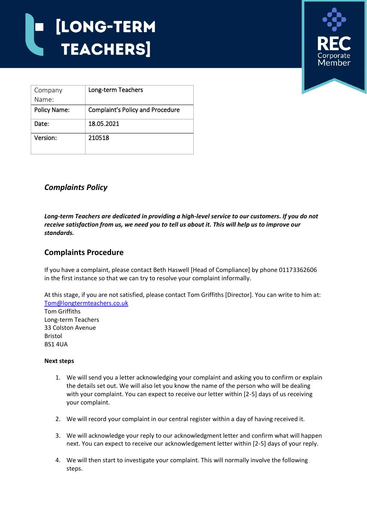

| Company             | Long-term Teachers                      |
|---------------------|-----------------------------------------|
| Name:               |                                         |
| <b>Policy Name:</b> | <b>Complaint's Policy and Procedure</b> |
| Date:               | 18.05.2021                              |
| Version:            | 210518                                  |

## *Complaints Policy*

*Long-term Teachers are dedicated in providing a high-level service to our customers. If you do not receive satisfaction from us, we need you to tell us about it. This will help us to improve our standards.*

## **Complaints Procedure**

If you have a complaint, please contact Beth Haswell [Head of Compliance] by phone 01173362606 in the first instance so that we can try to resolve your complaint informally.

At this stage, if you are not satisfied, please contact Tom Griffiths [Director]. You can write to him at: [Tom@longtermteachers.co.uk](mailto:Tom@longtermteachers.co.uk) Tom Griffiths Long-term Teachers 33 Colston Avenue Bristol BS1 4UA

## **Next steps**

- 1. We will send you a letter acknowledging your complaint and asking you to confirm or explain the details set out. We will also let you know the name of the person who will be dealing with your complaint. You can expect to receive our letter within [2-5] days of us receiving your complaint.
- 2. We will record your complaint in our central register within a day of having received it.
- 3. We will acknowledge your reply to our acknowledgment letter and confirm what will happen next. You can expect to receive our acknowledgement letter within [2-5] days of your reply.
- 4. We will then start to investigate your complaint. This will normally involve the following steps.